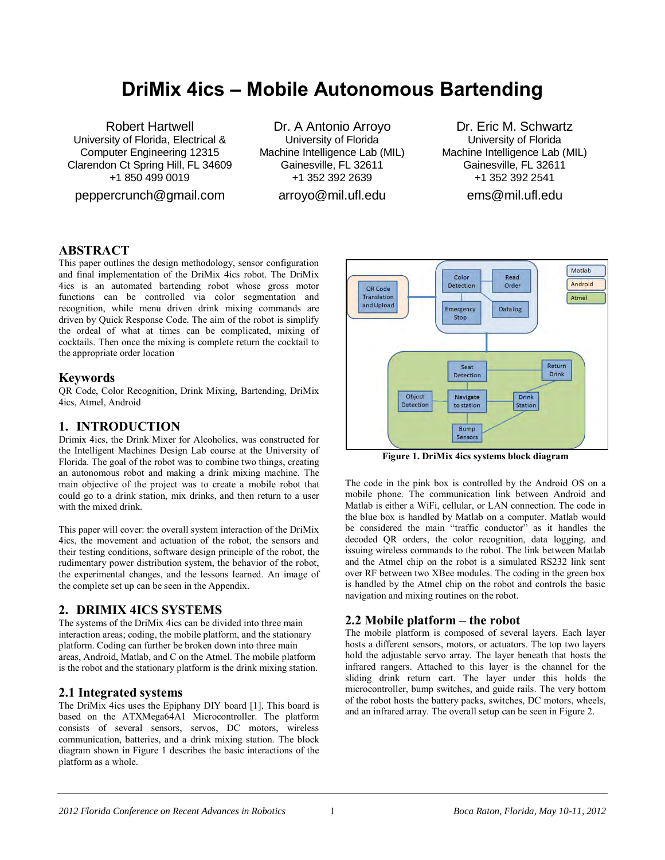# **DriMix 4ics – Mobile Autonomous Bartending**

Robert Hartwell University of Florida, Electrical & Computer Engineering 12315 Clarendon Ct Spring Hill, FL 34609 +1 850 499 0019

peppercrunch@gmail.com

Dr. A Antonio Arroyo University of Florida Machine Intelligence Lab (MIL) Gainesville, FL 32611 +1 352 392 2639

arroyo@mil.ufl.edu

Dr. Eric M. Schwartz University of Florida Machine Intelligence Lab (MIL) Gainesville, FL 32611 +1 352 392 2541

ems@mil.ufl.edu

## **ABSTRACT**

This paper outlines the design methodology, sensor configuration and final implementation of the DriMix 4ics robot. The DriMix 4ics is an automated bartending robot whose gross motor functions can be controlled via color segmentation and recognition, while menu driven drink mixing commands are driven by Quick Response Code. The aim of the robot is simplify the ordeal of what at times can be complicated, mixing of cocktails. Then once the mixing is complete return the cocktail to the appropriate order location

#### **Keywords**

QR Code, Color Recognition, Drink Mixing, Bartending, DriMix 4ics, Atmel, Android

## **1. INTRODUCTION**

Drimix 4ics, the Drink Mixer for Alcoholics, was constructed for the Intelligent Machines Design Lab course at the University of Florida. The goal of the robot was to combine two things, creating an autonomous robot and making a drink mixing machine. The main objective of the project was to create a mobile robot that could go to a drink station, mix drinks, and then return to a user with the mixed drink.

This paper will cover: the overall system interaction of the DriMix 4ics, the movement and actuation of the robot, the sensors and their testing conditions, software design principle of the robot, the rudimentary power distribution system, the behavior of the robot, the experimental changes, and the lessons learned. An image of the complete set up can be seen in the Appendix.

#### **2. DRIMIX 4ICS SYSTEMS**

The systems of the DriMix 4ics can be divided into three main interaction areas; coding, the mobile platform, and the stationary platform. Coding can further be broken down into three main areas, Android, Matlab, and C on the Atmel. The mobile platform is the robot and the stationary platform is the drink mixing station.

#### **2.1 Integrated systems**

The DriMix 4ics uses the Epiphany DIY board [1]. This board is based on the ATXMega64A1 Microcontroller. The platform consists of several sensors, servos, DC motors, wireless communication, batteries, and a drink mixing station. The block diagram shown in Figure 1 describes the basic interactions of the platform as a whole.



**Figure 1. DriMix 4ics systems block diagram** 

The code in the pink box is controlled by the Android OS on a mobile phone. The communication link between Android and Matlab is either a WiFi, cellular, or LAN connection. The code in the blue box is handled by Matlab on a computer. Matlab would be considered the main "traffic conductor" as it handles the decoded QR orders, the color recognition, data logging, and issuing wireless commands to the robot. The link between Matlab and the Atmel chip on the robot is a simulated RS232 link sent over RF between two XBee modules. The coding in the green box is handled by the Atmel chip on the robot and controls the basic navigation and mixing routines on the robot.

#### **2.2 Mobile platform – the robot**

The mobile platform is composed of several layers. Each layer hosts a different sensors, motors, or actuators. The top two layers hold the adjustable servo array. The layer beneath that hosts the infrared rangers. Attached to this layer is the channel for the sliding drink return cart. The layer under this holds the microcontroller, bump switches, and guide rails. The very bottom of the robot hosts the battery packs, switches, DC motors, wheels, and an infrared array. The overall setup can be seen in Figure 2.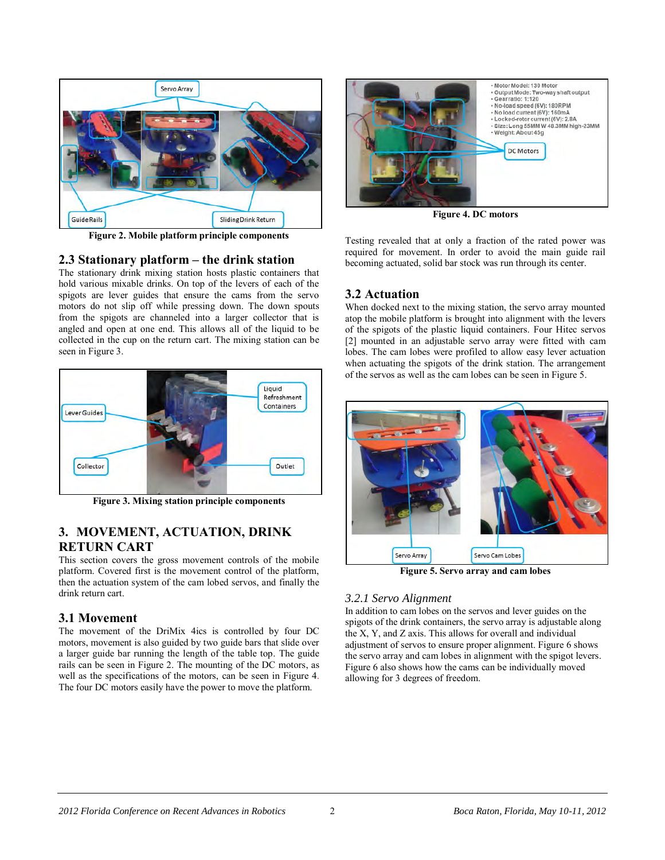

**Figure 2. Mobile platform principle components** 

## **2.3 Stationary platform – the drink station**

The stationary drink mixing station hosts plastic containers that hold various mixable drinks. On top of the levers of each of the spigots are lever guides that ensure the cams from the servo motors do not slip off while pressing down. The down spouts from the spigots are channeled into a larger collector that is angled and open at one end. This allows all of the liquid to be collected in the cup on the return cart. The mixing station can be seen in Figure 3.



**Figure 3. Mixing station principle components** 

## **3. MOVEMENT, ACTUATION, DRINK RETURN CART**

This section covers the gross movement controls of the mobile platform. Covered first is the movement control of the platform, then the actuation system of the cam lobed servos, and finally the drink return cart.

## **3.1 Movement**

The movement of the DriMix 4ics is controlled by four DC motors, movement is also guided by two guide bars that slide over a larger guide bar running the length of the table top. The guide rails can be seen in Figure 2. The mounting of the DC motors, as well as the specifications of the motors, can be seen in Figure 4. The four DC motors easily have the power to move the platform.



**Figure 4. DC motors** 

Testing revealed that at only a fraction of the rated power was required for movement. In order to avoid the main guide rail becoming actuated, solid bar stock was run through its center.

## **3.2 Actuation**

When docked next to the mixing station, the servo array mounted atop the mobile platform is brought into alignment with the levers of the spigots of the plastic liquid containers. Four Hitec servos [2] mounted in an adjustable servo array were fitted with cam lobes. The cam lobes were profiled to allow easy lever actuation when actuating the spigots of the drink station. The arrangement of the servos as well as the cam lobes can be seen in Figure 5.



**Figure 5. Servo array and cam lobes** 

#### *3.2.1 Servo Alignment*

In addition to cam lobes on the servos and lever guides on the spigots of the drink containers, the servo array is adjustable along the X, Y, and Z axis. This allows for overall and individual adjustment of servos to ensure proper alignment. Figure 6 shows the servo array and cam lobes in alignment with the spigot levers. Figure 6 also shows how the cams can be individually moved allowing for 3 degrees of freedom.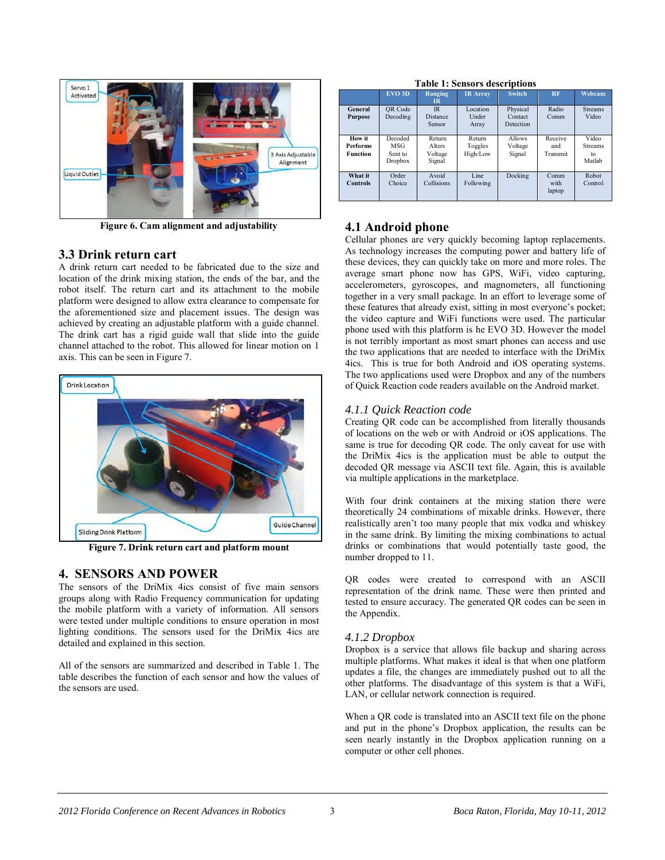

**Figure 6. Cam alignment and adjustability** 

#### **3.3 Drink return cart**

A drink return cart needed to be fabricated due to the size and location of the drink mixing station, the ends of the bar, and the robot itself. The return cart and its attachment to the mobile platform were designed to allow extra clearance to compensate for the aforementioned size and placement issues. The design was achieved by creating an adjustable platform with a guide channel. The drink cart has a rigid guide wall that slide into the guide channel attached to the robot. This allowed for linear motion on 1 axis. This can be seen in Figure 7.



**Figure 7. Drink return cart and platform mount** 

## **4. SENSORS AND POWER**

The sensors of the DriMix 4ics consist of five main sensors groups along with Radio Frequency communication for updating the mobile platform with a variety of information. All sensors were tested under multiple conditions to ensure operation in most lighting conditions. The sensors used for the DriMix 4ics are detailed and explained in this section.

All of the sensors are summarized and described in Table 1. The table describes the function of each sensor and how the values of the sensors are used.

**Table 1: Sensors descriptions** 

|                                              | <b>EVO 3D</b>                               | Ranging<br>$_{\rm IR}$                       | <b>IR Array</b>               | <b>Switch</b>                    | <b>RF</b>                  | Webcam                                  |
|----------------------------------------------|---------------------------------------------|----------------------------------------------|-------------------------------|----------------------------------|----------------------------|-----------------------------------------|
| General<br>Purpose                           | OR Code<br>Decoding                         | IR<br><b>Distance</b><br>Sensor              | Location<br>Under<br>Array    | Physical<br>Contact<br>Detection | Radio<br>Comm              | <b>Streams</b><br>Video                 |
| How it<br><b>Performs</b><br><b>Function</b> | Decoded<br>MSG<br>Sent to<br><b>Dropbox</b> | Return<br><b>Alters</b><br>Voltage<br>Signal | Return<br>Toggles<br>High/Low | Allows<br>Voltage<br>Signal      | Receive<br>and<br>Transmit | Video<br><b>Streams</b><br>to<br>Matlah |
| What it<br><b>Controls</b>                   | Order<br>Choice                             | Avoid<br>Collisions                          | Line<br>Following             | Docking                          | Comm<br>with<br>laptop     | Robot<br>Control                        |

## **4.1 Android phone**

Cellular phones are very quickly becoming laptop replacements. As technology increases the computing power and battery life of these devices, they can quickly take on more and more roles. The average smart phone now has GPS, WiFi, video capturing, accelerometers, gyroscopes, and magnometers, all functioning together in a very small package. In an effort to leverage some of these features that already exist, sitting in most everyone's pocket; the video capture and WiFi functions were used. The particular phone used with this platform is he EVO 3D. However the model is not terribly important as most smart phones can access and use the two applications that are needed to interface with the DriMix 4ics. This is true for both Android and iOS operating systems. The two applications used were Dropbox and any of the numbers of Quick Reaction code readers available on the Android market.

## *4.1.1 Quick Reaction code*

Creating QR code can be accomplished from literally thousands of locations on the web or with Android or iOS applications. The same is true for decoding QR code. The only caveat for use with the DriMix 4ics is the application must be able to output the decoded QR message via ASCII text file. Again, this is available via multiple applications in the marketplace.

With four drink containers at the mixing station there were theoretically 24 combinations of mixable drinks. However, there realistically aren't too many people that mix vodka and whiskey in the same drink. By limiting the mixing combinations to actual drinks or combinations that would potentially taste good, the number dropped to 11.

QR codes were created to correspond with an ASCII representation of the drink name. These were then printed and tested to ensure accuracy. The generated QR codes can be seen in the Appendix.

#### *4.1.2 Dropbox*

Dropbox is a service that allows file backup and sharing across multiple platforms. What makes it ideal is that when one platform updates a file, the changes are immediately pushed out to all the other platforms. The disadvantage of this system is that a WiFi, LAN, or cellular network connection is required.

When a QR code is translated into an ASCII text file on the phone and put in the phone's Dropbox application, the results can be seen nearly instantly in the Dropbox application running on a computer or other cell phones.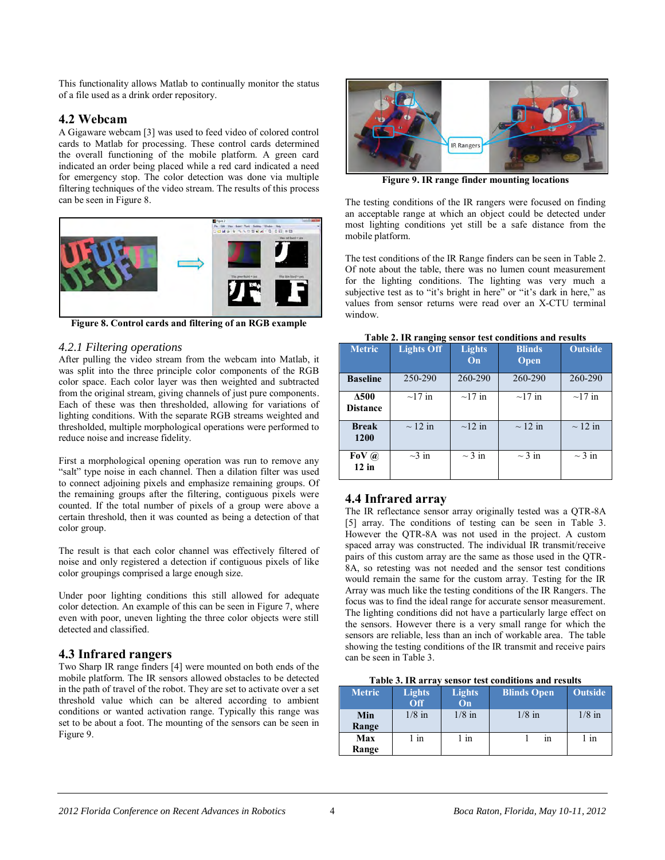This functionality allows Matlab to continually monitor the status of a file used as a drink order repository.

## **4.2 Webcam**

A Gigaware webcam [3] was used to feed video of colored control cards to Matlab for processing. These control cards determined the overall functioning of the mobile platform. A green card indicated an order being placed while a red card indicated a need for emergency stop. The color detection was done via multiple filtering techniques of the video stream. The results of this process can be seen in Figure 8.



**Figure 8. Control cards and filtering of an RGB example** 

#### *4.2.1 Filtering operations*

After pulling the video stream from the webcam into Matlab, it was split into the three principle color components of the RGB color space. Each color layer was then weighted and subtracted from the original stream, giving channels of just pure components. Each of these was then thresholded, allowing for variations of lighting conditions. With the separate RGB streams weighted and thresholded, multiple morphological operations were performed to reduce noise and increase fidelity.

First a morphological opening operation was run to remove any "salt" type noise in each channel. Then a dilation filter was used to connect adjoining pixels and emphasize remaining groups. Of the remaining groups after the filtering, contiguous pixels were counted. If the total number of pixels of a group were above a certain threshold, then it was counted as being a detection of that color group.

The result is that each color channel was effectively filtered of noise and only registered a detection if contiguous pixels of like color groupings comprised a large enough size.

Under poor lighting conditions this still allowed for adequate color detection. An example of this can be seen in Figure 7, where even with poor, uneven lighting the three color objects were still detected and classified.

## **4.3 Infrared rangers**

Two Sharp IR range finders [4] were mounted on both ends of the mobile platform. The IR sensors allowed obstacles to be detected in the path of travel of the robot. They are set to activate over a set threshold value which can be altered according to ambient conditions or wanted activation range. Typically this range was set to be about a foot. The mounting of the sensors can be seen in Figure 9.



**Figure 9. IR range finder mounting locations** 

The testing conditions of the IR rangers were focused on finding an acceptable range at which an object could be detected under most lighting conditions yet still be a safe distance from the mobile platform.

The test conditions of the IR Range finders can be seen in Table 2. Of note about the table, there was no lumen count measurement for the lighting conditions. The lighting was very much a subjective test as to "it's bright in here" or "it's dark in here," as values from sensor returns were read over an X-CTU terminal window.

| r aoit a'i fill fanging benoor test conditions and results |                   |                     |                       |                |  |
|------------------------------------------------------------|-------------------|---------------------|-----------------------|----------------|--|
| <b>Metric</b>                                              | <b>Lights Off</b> | <b>Lights</b><br>On | <b>Blinds</b><br>Open | <b>Outside</b> |  |
| <b>Baseline</b>                                            | 250-290           | 260-290             | 260-290               | 260-290        |  |
| Δ500<br><b>Distance</b>                                    | $\sim$ 17 in      | $\sim$ 17 in        | $\sim$ 17 in          | $\sim$ 17 in   |  |
| <b>Break</b><br>1200                                       | $\sim$ 12 in      | $\sim$ 12 in        | $\sim$ 12 in          | $\sim$ 12 in   |  |
| FoV $\omega$<br>$12$ in                                    | $\sim$ 3 in       | $\sim$ 3 in         | $\sim$ 3 in           | $\sim$ 3 in    |  |

#### **Table 2. IR ranging sensor test conditions and results**

## **4.4 Infrared array**

The IR reflectance sensor array originally tested was a QTR-8A [5] array. The conditions of testing can be seen in Table 3. However the QTR-8A was not used in the project. A custom spaced array was constructed. The individual IR transmit/receive pairs of this custom array are the same as those used in the QTR-8A, so retesting was not needed and the sensor test conditions would remain the same for the custom array. Testing for the IR Array was much like the testing conditions of the IR Rangers. The focus was to find the ideal range for accurate sensor measurement. The lighting conditions did not have a particularly large effect on the sensors. However there is a very small range for which the sensors are reliable, less than an inch of workable area. The table showing the testing conditions of the IR transmit and receive pairs can be seen in Table 3.

| Table 3. IR array sensor test conditions and results |  |  |  |  |
|------------------------------------------------------|--|--|--|--|
|------------------------------------------------------|--|--|--|--|

| <b>Metric</b> | <b>Lights</b><br>Off | <b>Lights</b><br>On | <b>Blinds Open</b> | <b>Outside</b> |
|---------------|----------------------|---------------------|--------------------|----------------|
| Min<br>Range  | $1/8$ in             | $1/8$ in            | $1/8$ in           | $1/8$ in       |
| Max<br>Range  | in                   | in                  | in                 | l in           |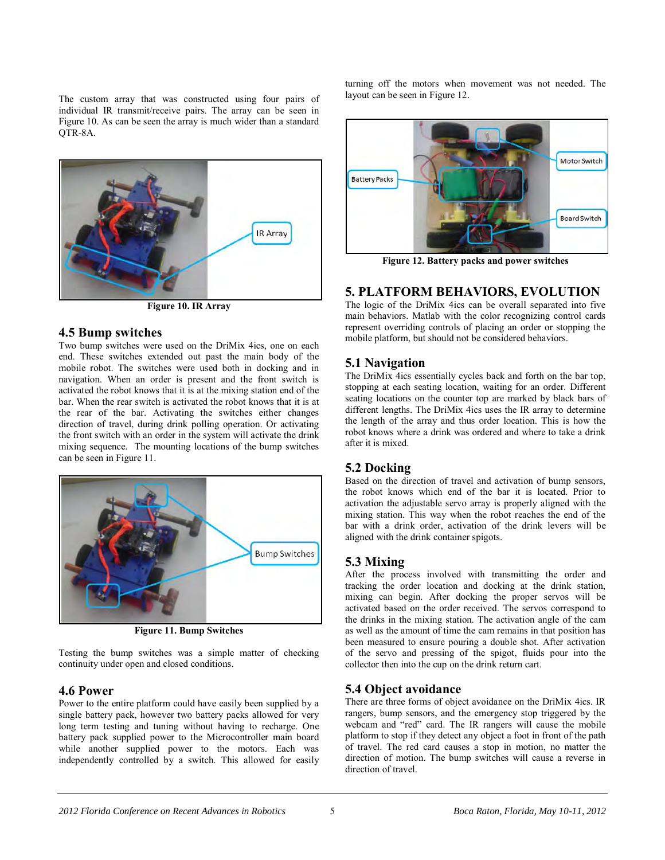The custom array that was constructed using four pairs of individual IR transmit/receive pairs. The array can be seen in Figure 10. As can be seen the array is much wider than a standard QTR-8A.



**Figure 10. IR Array** 

## **4.5 Bump switches**

Two bump switches were used on the DriMix 4ics, one on each end. These switches extended out past the main body of the mobile robot. The switches were used both in docking and in navigation. When an order is present and the front switch is activated the robot knows that it is at the mixing station end of the bar. When the rear switch is activated the robot knows that it is at the rear of the bar. Activating the switches either changes direction of travel, during drink polling operation. Or activating the front switch with an order in the system will activate the drink mixing sequence. The mounting locations of the bump switches can be seen in Figure 11.



**Figure 11. Bump Switches** 

Testing the bump switches was a simple matter of checking continuity under open and closed conditions.

## **4.6 Power**

Power to the entire platform could have easily been supplied by a single battery pack, however two battery packs allowed for very long term testing and tuning without having to recharge. One battery pack supplied power to the Microcontroller main board while another supplied power to the motors. Each was independently controlled by a switch. This allowed for easily

turning off the motors when movement was not needed. The layout can be seen in Figure 12.



**Figure 12. Battery packs and power switches** 

## **5. PLATFORM BEHAVIORS, EVOLUTION**

The logic of the DriMix 4ics can be overall separated into five main behaviors. Matlab with the color recognizing control cards represent overriding controls of placing an order or stopping the mobile platform, but should not be considered behaviors.

## **5.1 Navigation**

The DriMix 4ics essentially cycles back and forth on the bar top, stopping at each seating location, waiting for an order. Different seating locations on the counter top are marked by black bars of different lengths. The DriMix 4ics uses the IR array to determine the length of the array and thus order location. This is how the robot knows where a drink was ordered and where to take a drink after it is mixed.

## **5.2 Docking**

Based on the direction of travel and activation of bump sensors, the robot knows which end of the bar it is located. Prior to activation the adjustable servo array is properly aligned with the mixing station. This way when the robot reaches the end of the bar with a drink order, activation of the drink levers will be aligned with the drink container spigots.

## **5.3 Mixing**

After the process involved with transmitting the order and tracking the order location and docking at the drink station, mixing can begin. After docking the proper servos will be activated based on the order received. The servos correspond to the drinks in the mixing station. The activation angle of the cam as well as the amount of time the cam remains in that position has been measured to ensure pouring a double shot. After activation of the servo and pressing of the spigot, fluids pour into the collector then into the cup on the drink return cart.

## **5.4 Object avoidance**

There are three forms of object avoidance on the DriMix 4ics. IR rangers, bump sensors, and the emergency stop triggered by the webcam and "red" card. The IR rangers will cause the mobile platform to stop if they detect any object a foot in front of the path of travel. The red card causes a stop in motion, no matter the direction of motion. The bump switches will cause a reverse in direction of travel.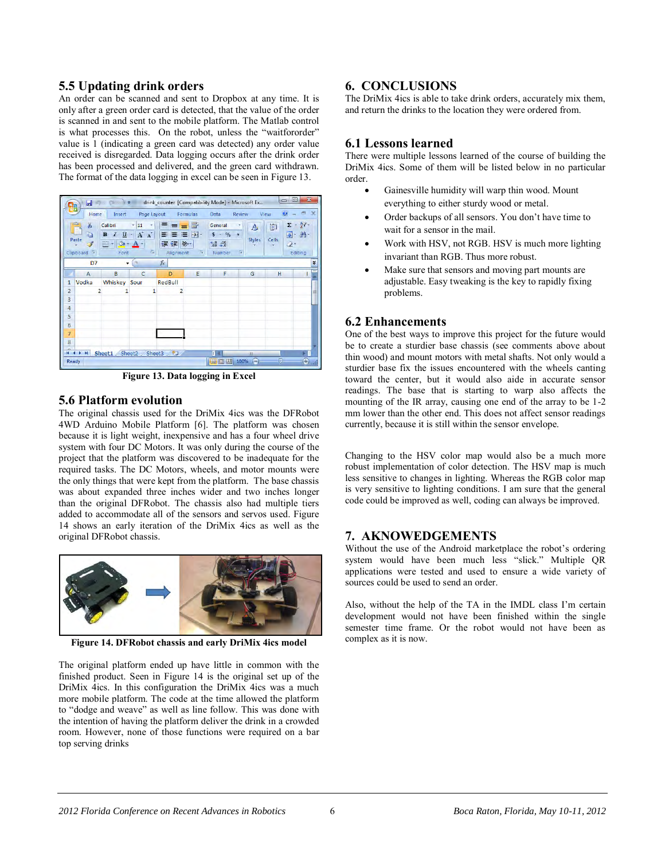#### **5.5 Updating drink orders**

An order can be scanned and sent to Dropbox at any time. It is only after a green order card is detected, that the value of the order is scanned in and sent to the mobile platform. The Matlab control is what processes this. On the robot, unless the "waitfororder" value is 1 (indicating a green card was detected) any order value received is disregarded. Data logging occurs after the drink order has been processed and delivered, and the green card withdrawn. The format of the data logging in excel can be seen in Figure 13.



**Figure 13. Data logging in Excel** 

#### **5.6 Platform evolution**

The original chassis used for the DriMix 4ics was the DFRobot 4WD Arduino Mobile Platform [6]. The platform was chosen because it is light weight, inexpensive and has a four wheel drive system with four DC Motors. It was only during the course of the project that the platform was discovered to be inadequate for the required tasks. The DC Motors, wheels, and motor mounts were the only things that were kept from the platform. The base chassis was about expanded three inches wider and two inches longer than the original DFRobot. The chassis also had multiple tiers added to accommodate all of the sensors and servos used. Figure 14 shows an early iteration of the DriMix 4ics as well as the original DFRobot chassis.



**Figure 14. DFRobot chassis and early DriMix 4ics model** 

The original platform ended up have little in common with the finished product. Seen in Figure 14 is the original set up of the DriMix 4ics. In this configuration the DriMix 4ics was a much more mobile platform. The code at the time allowed the platform to "dodge and weave" as well as line follow. This was done with the intention of having the platform deliver the drink in a crowded room. However, none of those functions were required on a bar top serving drinks

## **6. CONCLUSIONS**

The DriMix 4ics is able to take drink orders, accurately mix them, and return the drinks to the location they were ordered from.

## **6.1 Lessons learned**

There were multiple lessons learned of the course of building the DriMix 4ics. Some of them will be listed below in no particular order.

- Gainesville humidity will warp thin wood. Mount everything to either sturdy wood or metal.
- Order backups of all sensors. You don't have time to wait for a sensor in the mail.
- Work with HSV, not RGB. HSV is much more lighting invariant than RGB. Thus more robust.
- Make sure that sensors and moving part mounts are adjustable. Easy tweaking is the key to rapidly fixing problems.

## **6.2 Enhancements**

One of the best ways to improve this project for the future would be to create a sturdier base chassis (see comments above about thin wood) and mount motors with metal shafts. Not only would a sturdier base fix the issues encountered with the wheels canting toward the center, but it would also aide in accurate sensor readings. The base that is starting to warp also affects the mounting of the IR array, causing one end of the array to be 1-2 mm lower than the other end. This does not affect sensor readings currently, because it is still within the sensor envelope.

Changing to the HSV color map would also be a much more robust implementation of color detection. The HSV map is much less sensitive to changes in lighting. Whereas the RGB color map is very sensitive to lighting conditions. I am sure that the general code could be improved as well, coding can always be improved.

## **7. AKNOWEDGEMENTS**

Without the use of the Android marketplace the robot's ordering system would have been much less "slick." Multiple QR applications were tested and used to ensure a wide variety of sources could be used to send an order.

Also, without the help of the TA in the IMDL class I'm certain development would not have been finished within the single semester time frame. Or the robot would not have been as complex as it is now.